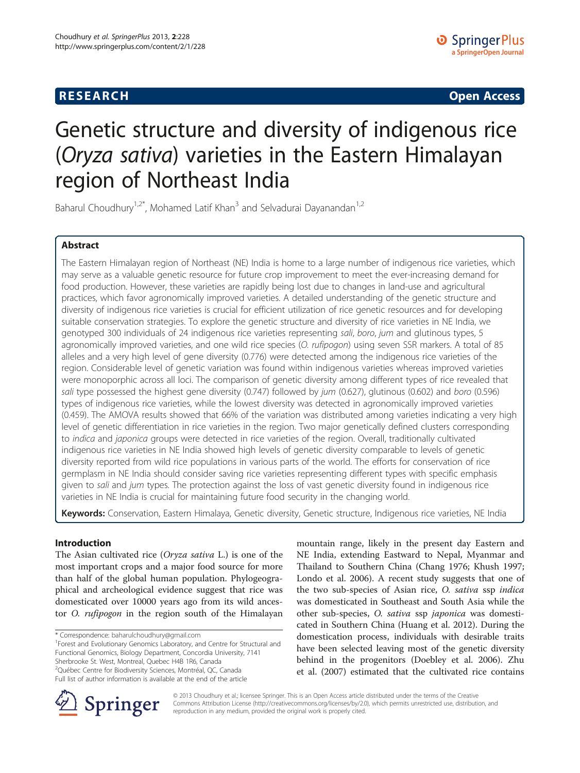## **RESEARCH RESEARCH** *CHECK CHECK CHECK CHECK CHECK CHECK CHECK CHECK CHECK CHECK CHECK CHECK CHECK CHECK CHECK CHECK CHECK CHECK CHECK CHECK CHECK CHECK CHECK CHECK CHECK CHECK CHECK CHECK CHECK CHECK CHECK CHECK CHECK*

# Genetic structure and diversity of indigenous rice (Oryza sativa) varieties in the Eastern Himalayan region of Northeast India

Baharul Choudhury<sup>1,2\*</sup>, Mohamed Latif Khan<sup>3</sup> and Selvadurai Dayanandan<sup>1,2</sup>

## Abstract

The Eastern Himalayan region of Northeast (NE) India is home to a large number of indigenous rice varieties, which may serve as a valuable genetic resource for future crop improvement to meet the ever-increasing demand for food production. However, these varieties are rapidly being lost due to changes in land-use and agricultural practices, which favor agronomically improved varieties. A detailed understanding of the genetic structure and diversity of indigenous rice varieties is crucial for efficient utilization of rice genetic resources and for developing suitable conservation strategies. To explore the genetic structure and diversity of rice varieties in NE India, we genotyped 300 individuals of 24 indigenous rice varieties representing sali, boro, jum and glutinous types, 5 agronomically improved varieties, and one wild rice species (O. rufipogon) using seven SSR markers. A total of 85 alleles and a very high level of gene diversity (0.776) were detected among the indigenous rice varieties of the region. Considerable level of genetic variation was found within indigenous varieties whereas improved varieties were monoporphic across all loci. The comparison of genetic diversity among different types of rice revealed that sali type possessed the highest gene diversity (0.747) followed by jum (0.627), glutinous (0.602) and boro (0.596) types of indigenous rice varieties, while the lowest diversity was detected in agronomically improved varieties (0.459). The AMOVA results showed that 66% of the variation was distributed among varieties indicating a very high level of genetic differentiation in rice varieties in the region. Two major genetically defined clusters corresponding to indica and japonica groups were detected in rice varieties of the region. Overall, traditionally cultivated indigenous rice varieties in NE India showed high levels of genetic diversity comparable to levels of genetic diversity reported from wild rice populations in various parts of the world. The efforts for conservation of rice germplasm in NE India should consider saving rice varieties representing different types with specific emphasis given to sali and jum types. The protection against the loss of vast genetic diversity found in indigenous rice varieties in NE India is crucial for maintaining future food security in the changing world.

Keywords: Conservation, Eastern Himalaya, Genetic diversity, Genetic structure, Indigenous rice varieties, NE India

## Introduction

The Asian cultivated rice (Oryza sativa L.) is one of the most important crops and a major food source for more than half of the global human population. Phylogeographical and archeological evidence suggest that rice was domesticated over 10000 years ago from its wild ancestor O. rufipogon in the region south of the Himalayan

<sup>2</sup>Québec Centre for Biodiversity Sciences, Montréal, QC, Canada

mountain range, likely in the present day Eastern and NE India, extending Eastward to Nepal, Myanmar and Thailand to Southern China (Chang [1976](#page-8-0); Khush [1997](#page-9-0); Londo et al. [2006\)](#page-9-0). A recent study suggests that one of the two sub-species of Asian rice, O. sativa ssp indica was domesticated in Southeast and South Asia while the other sub-species, O. sativa ssp japonica was domesticated in Southern China (Huang et al. [2012](#page-9-0)). During the domestication process, individuals with desirable traits have been selected leaving most of the genetic diversity behind in the progenitors (Doebley et al. [2006\)](#page-9-0). Zhu et al. ([2007\)](#page-9-0) estimated that the cultivated rice contains



© 2013 Choudhury et al.; licensee Springer. This is an Open Access article distributed under the terms of the Creative Commons Attribution License (<http://creativecommons.org/licenses/by/2.0>), which permits unrestricted use, distribution, and reproduction in any medium, provided the original work is properly cited.

<sup>\*</sup> Correspondence: [baharulchoudhury@gmail.com](mailto:baharulchoudhury@gmail.com) <sup>1</sup>

<sup>&</sup>lt;sup>1</sup>Forest and Evolutionary Genomics Laboratory, and Centre for Structural and Functional Genomics, Biology Department, Concordia University, 7141 Sherbrooke St. West, Montreal, Quebec H4B 1R6, Canada

Full list of author information is available at the end of the article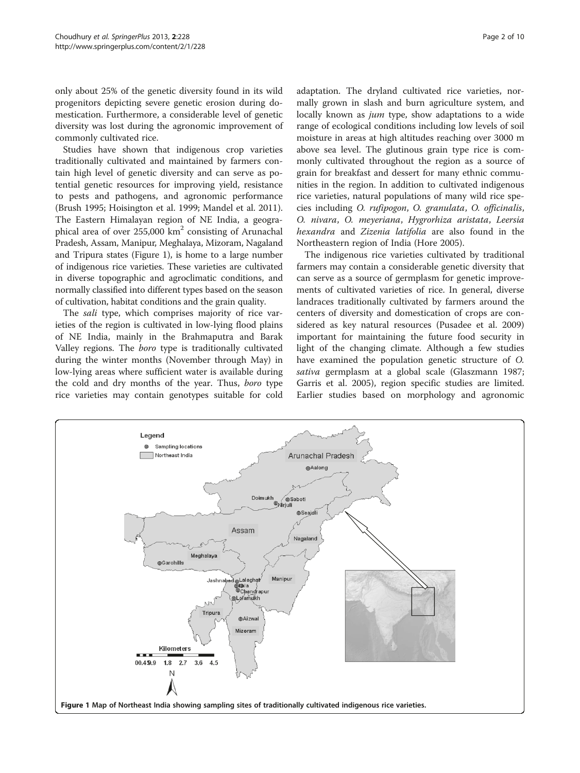<span id="page-1-0"></span>only about 25% of the genetic diversity found in its wild progenitors depicting severe genetic erosion during domestication. Furthermore, a considerable level of genetic diversity was lost during the agronomic improvement of commonly cultivated rice.

Studies have shown that indigenous crop varieties traditionally cultivated and maintained by farmers contain high level of genetic diversity and can serve as potential genetic resources for improving yield, resistance to pests and pathogens, and agronomic performance (Brush [1995;](#page-8-0) Hoisington et al. [1999](#page-9-0); Mandel et al. [2011](#page-9-0)). The Eastern Himalayan region of NE India, a geographical area of over  $255,000 \text{ km}^2$  consisting of Arunachal Pradesh, Assam, Manipur, Meghalaya, Mizoram, Nagaland and Tripura states (Figure 1), is home to a large number of indigenous rice varieties. These varieties are cultivated in diverse topographic and agroclimatic conditions, and normally classified into different types based on the season of cultivation, habitat conditions and the grain quality.

The *sali* type, which comprises majority of rice varieties of the region is cultivated in low-lying flood plains of NE India, mainly in the Brahmaputra and Barak Valley regions. The boro type is traditionally cultivated during the winter months (November through May) in low-lying areas where sufficient water is available during the cold and dry months of the year. Thus, boro type rice varieties may contain genotypes suitable for cold

adaptation. The dryland cultivated rice varieties, normally grown in slash and burn agriculture system, and locally known as *jum* type, show adaptations to a wide range of ecological conditions including low levels of soil moisture in areas at high altitudes reaching over 3000 m above sea level. The glutinous grain type rice is commonly cultivated throughout the region as a source of grain for breakfast and dessert for many ethnic communities in the region. In addition to cultivated indigenous rice varieties, natural populations of many wild rice species including O. rufipogon, O. granulata, O. officinalis, O. nivara, O. meyeriana, Hygrorhiza aristata, Leersia hexandra and Zizenia latifolia are also found in the Northeastern region of India (Hore [2005\)](#page-9-0).

The indigenous rice varieties cultivated by traditional farmers may contain a considerable genetic diversity that can serve as a source of germplasm for genetic improvements of cultivated varieties of rice. In general, diverse landraces traditionally cultivated by farmers around the centers of diversity and domestication of crops are considered as key natural resources (Pusadee et al. [2009](#page-9-0)) important for maintaining the future food security in light of the changing climate. Although a few studies have examined the population genetic structure of O. sativa germplasm at a global scale (Glaszmann [1987](#page-9-0); Garris et al. [2005](#page-9-0)), region specific studies are limited. Earlier studies based on morphology and agronomic

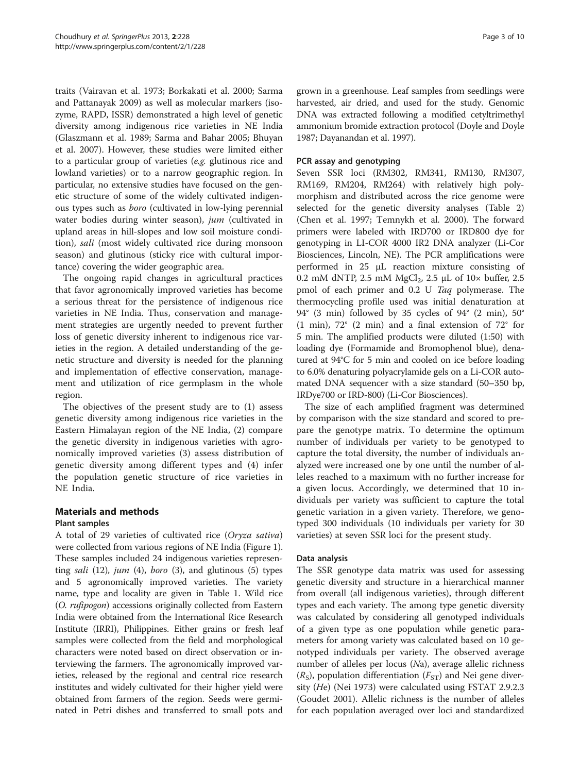traits (Vairavan et al. [1973](#page-9-0); Borkakati et al. [2000](#page-8-0); Sarma and Pattanayak [2009](#page-9-0)) as well as molecular markers (isozyme, RAPD, ISSR) demonstrated a high level of genetic diversity among indigenous rice varieties in NE India (Glaszmann et al. [1989](#page-9-0); Sarma and Bahar [2005](#page-9-0); Bhuyan et al. [2007](#page-8-0)). However, these studies were limited either to a particular group of varieties (e.g. glutinous rice and lowland varieties) or to a narrow geographic region. In particular, no extensive studies have focused on the genetic structure of some of the widely cultivated indigenous types such as boro (cultivated in low-lying perennial water bodies during winter season), jum (cultivated in upland areas in hill-slopes and low soil moisture condition), sali (most widely cultivated rice during monsoon season) and glutinous (sticky rice with cultural importance) covering the wider geographic area.

The ongoing rapid changes in agricultural practices that favor agronomically improved varieties has become a serious threat for the persistence of indigenous rice varieties in NE India. Thus, conservation and management strategies are urgently needed to prevent further loss of genetic diversity inherent to indigenous rice varieties in the region. A detailed understanding of the genetic structure and diversity is needed for the planning and implementation of effective conservation, management and utilization of rice germplasm in the whole region.

The objectives of the present study are to (1) assess genetic diversity among indigenous rice varieties in the Eastern Himalayan region of the NE India, (2) compare the genetic diversity in indigenous varieties with agronomically improved varieties (3) assess distribution of genetic diversity among different types and (4) infer the population genetic structure of rice varieties in NE India.

#### Materials and methods Plant samples

A total of 29 varieties of cultivated rice (Oryza sativa) were collected from various regions of NE India (Figure [1](#page-1-0)). These samples included 24 indigenous varieties representing *sali* (12), *jum* (4), *boro* (3), and glutinous (5) types and 5 agronomically improved varieties. The variety name, type and locality are given in Table [1.](#page-3-0) Wild rice (O. rufipogon) accessions originally collected from Eastern India were obtained from the International Rice Research Institute (IRRI), Philippines. Either grains or fresh leaf samples were collected from the field and morphological characters were noted based on direct observation or interviewing the farmers. The agronomically improved varieties, released by the regional and central rice research institutes and widely cultivated for their higher yield were obtained from farmers of the region. Seeds were germinated in Petri dishes and transferred to small pots and

grown in a greenhouse. Leaf samples from seedlings were harvested, air dried, and used for the study. Genomic DNA was extracted following a modified cetyltrimethyl ammonium bromide extraction protocol (Doyle and Doyle [1987;](#page-9-0) Dayanandan et al. [1997\)](#page-9-0).

## PCR assay and genotyping

Seven SSR loci (RM302, RM341, RM130, RM307, RM169, RM204, RM264) with relatively high polymorphism and distributed across the rice genome were selected for the genetic diversity analyses (Table [2](#page-3-0)) (Chen et al. [1997;](#page-9-0) Temnykh et al. [2000](#page-9-0)). The forward primers were labeled with IRD700 or IRD800 dye for genotyping in LI-COR 4000 IR2 DNA analyzer (Li-Cor Biosciences, Lincoln, NE). The PCR amplifications were performed in 25 μL reaction mixture consisting of 0.2 mM dNTP, 2.5 mM  $MgCl<sub>2</sub>$ , 2.5 µL of 10× buffer, 2.5 pmol of each primer and 0.2 U Taq polymerase. The thermocycling profile used was initial denaturation at 94° (3 min) followed by 35 cycles of 94° (2 min), 50° (1 min), 72° (2 min) and a final extension of 72° for 5 min. The amplified products were diluted (1:50) with loading dye (Formamide and Bromophenol blue), denatured at 94°C for 5 min and cooled on ice before loading to 6.0% denaturing polyacrylamide gels on a Li-COR automated DNA sequencer with a size standard (50–350 bp, IRDye700 or IRD-800) (Li-Cor Biosciences).

The size of each amplified fragment was determined by comparison with the size standard and scored to prepare the genotype matrix. To determine the optimum number of individuals per variety to be genotyped to capture the total diversity, the number of individuals analyzed were increased one by one until the number of alleles reached to a maximum with no further increase for a given locus. Accordingly, we determined that 10 individuals per variety was sufficient to capture the total genetic variation in a given variety. Therefore, we genotyped 300 individuals (10 individuals per variety for 30 varieties) at seven SSR loci for the present study.

#### Data analysis

The SSR genotype data matrix was used for assessing genetic diversity and structure in a hierarchical manner from overall (all indigenous varieties), through different types and each variety. The among type genetic diversity was calculated by considering all genotyped individuals of a given type as one population while genetic parameters for among variety was calculated based on 10 genotyped individuals per variety. The observed average number of alleles per locus (Na), average allelic richness  $(R<sub>S</sub>)$ , population differentiation  $(F<sub>ST</sub>)$  and Nei gene diversity (He) (Nei [1973](#page-9-0)) were calculated using FSTAT 2.9.2.3 (Goudet [2001\)](#page-9-0). Allelic richness is the number of alleles for each population averaged over loci and standardized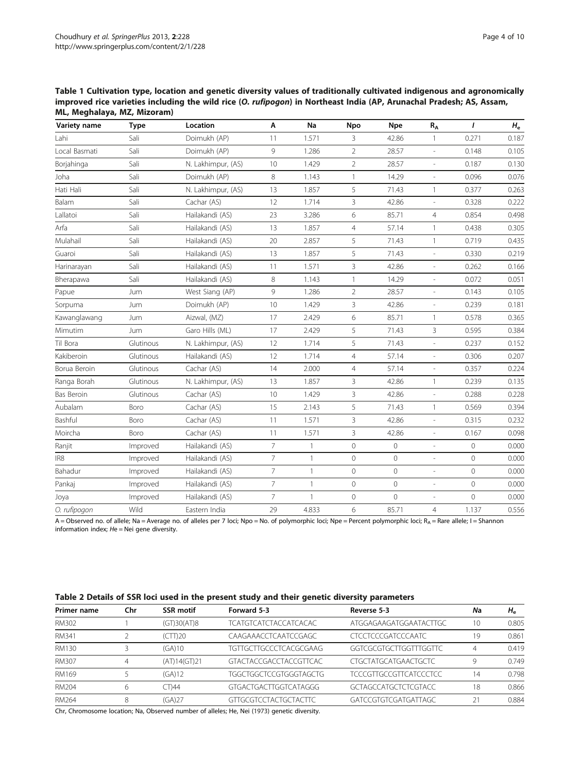<span id="page-3-0"></span>Table 1 Cultivation type, location and genetic diversity values of traditionally cultivated indigenous and agronomically improved rice varieties including the wild rice (O. rufipogon) in Northeast India (AP, Arunachal Pradesh; AS, Assam, ML, Meghalaya, MZ, Mizoram)

| Variety name    | <b>Type</b> | Location           | A              | Na           | <b>Npo</b>     | <b>Npe</b>          | $R_{A}$                  | $\mathbf{I}$   | $H_{\rm e}$ |
|-----------------|-------------|--------------------|----------------|--------------|----------------|---------------------|--------------------------|----------------|-------------|
| Lahi            | Sali        | Doimukh (AP)       | 11             | 1.571        | 3              | 42.86               | $\mathbf{1}$             | 0.271          | 0.187       |
| Local Basmati   | Sali        | Doimukh (AP)       | $\circ$        | 1.286        | $\overline{2}$ | 28.57               | $\overline{\phantom{a}}$ | 0.148          | 0.105       |
| Borjahinga      | Sali        | N. Lakhimpur, (AS) | 10             | 1.429        | $\overline{2}$ | 28.57               | $\overline{\phantom{a}}$ | 0.187          | 0.130       |
| Joha            | Sali        | Doimukh (AP)       | 8              | 1.143        | 1              | 14.29               | $\overline{\phantom{a}}$ | 0.096          | 0.076       |
| Hati Hali       | Sali        | N. Lakhimpur, (AS) | 13             | 1.857        | 5              | 71.43               | $\mathbf{1}$             | 0.377          | 0.263       |
| Balam           | Sali        | Cachar (AS)        | 12             | 1.714        | 3              | 42.86               |                          | 0.328          | 0.222       |
| Lallatoi        | Sali        | Hailakandi (AS)    | 23             | 3.286        | 6              | 85.71               | $\overline{4}$           | 0.854          | 0.498       |
| Arfa            | Sali        | Hailakandi (AS)    | 13             | 1.857        | $\overline{4}$ | 57.14               | $\mathbf{1}$             | 0.438          | 0.305       |
| Mulahail        | Sali        | Hailakandi (AS)    | 20             | 2.857        | 5              | 71.43               | $\mathbf{1}$             | 0.719          | 0.435       |
| Guaroi          | Sali        | Hailakandi (AS)    | 13             | 1.857        | 5              | 71.43               | $\overline{\phantom{a}}$ | 0.330          | 0.219       |
| Harinarayan     | Sali        | Hailakandi (AS)    | 11             | 1.571        | 3              | 42.86               | ÷,                       | 0.262          | 0.166       |
| Bherapawa       | Sali        | Hailakandi (AS)    | 8              | 1.143        | 1              | 14.29               | $\overline{\phantom{a}}$ | 0.072          | 0.051       |
| Papue           | Jum         | West Siang (AP)    | 9              | 1.286        | $\overline{2}$ | 28.57               | $\overline{\phantom{a}}$ | 0.143          | 0.105       |
| Sorpuma         | Jum         | Doimukh (AP)       | 10             | 1.429        | 3              | 42.86               | $\overline{\phantom{a}}$ | 0.239          | 0.181       |
| Kawanglawang    | Jum         | Aizwal, (MZ)       | 17             | 2.429        | 6              | 85.71               | $\mathbf{1}$             | 0.578          | 0.365       |
| Mimutim         | Jum         | Garo Hills (ML)    | 17             | 2.429        | 5              | 71.43               | 3                        | 0.595          | 0.384       |
| Til Bora        | Glutinous   | N. Lakhimpur, (AS) | 12             | 1.714        | 5              | 71.43               | $\overline{\phantom{a}}$ | 0.237          | 0.152       |
| Kakiberoin      | Glutinous   | Hailakandi (AS)    | 12             | 1.714        | $\overline{4}$ | 57.14               | $\frac{1}{2}$            | 0.306          | 0.207       |
| Borua Beroin    | Glutinous   | Cachar (AS)        | 14             | 2.000        | $\overline{4}$ | 57.14               | $\overline{\phantom{a}}$ | 0.357          | 0.224       |
| Ranga Borah     | Glutinous   | N. Lakhimpur, (AS) | 13             | 1.857        | 3              | 42.86               | $\mathbf{1}$             | 0.239          | 0.135       |
| Bas Beroin      | Glutinous   | Cachar (AS)        | 10             | 1.429        | 3              | 42.86               | $\overline{\phantom{a}}$ | 0.288          | 0.228       |
| Aubalam         | Boro        | Cachar (AS)        | 15             | 2.143        | 5              | 71.43               | $\mathbf{1}$             | 0.569          | 0.394       |
| Bashful         | Boro        | Cachar (AS)        | 11             | 1.571        | 3              | 42.86               | i,                       | 0.315          | 0.232       |
| Moircha         | Boro        | Cachar (AS)        | 11             | 1.571        | 3              | 42.86               | $\overline{\phantom{a}}$ | 0.167          | 0.098       |
| Ranjit          | Improved    | Hailakandi (AS)    | $\overline{7}$ | $\mathbf{1}$ | $\overline{0}$ | $\mathsf{O}\xspace$ |                          | $\mathbf{0}$   | 0.000       |
| IR <sub>8</sub> | Improved    | Hailakandi (AS)    | $\overline{7}$ | $\mathbf{1}$ | $\mathbf{0}$   | $\mathsf{O}\xspace$ | $\overline{\phantom{a}}$ | $\mathbf{0}$   | 0.000       |
| Bahadur         | Improved    | Hailakandi (AS)    | $\overline{7}$ | $\mathbf{1}$ | $\mathbf 0$    | $\circ$             | $\overline{\phantom{a}}$ | $\overline{0}$ | 0.000       |
| Pankaj          | Improved    | Hailakandi (AS)    | $\overline{7}$ | $\mathbf{1}$ | $\overline{0}$ | $\mathsf{O}\xspace$ | $\overline{a}$           | 0              | 0.000       |
| Joya            | Improved    | Hailakandi (AS)    | $\overline{7}$ | $\mathbf{1}$ | $\mathbf 0$    | $\mathbf 0$         | $\sim$                   | 0              | 0.000       |
| O. rufipogon    | Wild        | Eastern India      | 29             | 4.833        | 6              | 85.71               | $\overline{4}$           | 1.137          | 0.556       |

 $\overline{A}$  = Observed no. of allele; Na = Average no. of alleles per 7 loci; Npo = No. of polymorphic loci; Npe = Percent polymorphic loci; R<sub>A</sub> = Rare allele; I = Shannon information index; He = Nei gene diversity.

### Table 2 Details of SSR loci used in the present study and their genetic diversity parameters

| Primer name  | Chr | <b>SSR motif</b> | Forward 5-3                   | Reverse 5-3                   | Na | $H_{\rm e}$ |
|--------------|-----|------------------|-------------------------------|-------------------------------|----|-------------|
| RM302        |     | (GT)30(AT)8      | <b>TCATGTCATCTACCATCACAC</b>  | ATGGAGAAGATGGAATACTTGC        | 10 | 0.805       |
| RM341        |     | (CTT)20          | CAAGAAACCTCAATCCGAGC          | <b>CTCCTCCCGATCCCAATC</b>     | 19 | 0.861       |
| <b>RM130</b> |     | (GA)10           | <b>TGTTGCTTGCCCTCACGCGAAG</b> | GGTCGCGTGCTTGGTTTGGTTC        | 4  | 0.419       |
| RM307        | 4   | (AT)14(GT)21     | <b>GTACTACCGACCTACCGTTCAC</b> | <b>CTGCTATGCATGAACTGCTC</b>   |    | 0.749       |
| RM169        |     | (GA)12           | TGGCTGGCTCCGTGGGTAGCTG        | <b>TCCCGTTGCCGTTCATCCCTCC</b> | 14 | 0.798       |
| RM204        | 6   | $CT$ )44         | <b>GTGACTGACTTGGTCATAGGG</b>  | <b>GCTAGCCATGCTCTCGTACC</b>   | 18 | 0.866       |
| RM264        | 8   | (GA)27           | <b>GTTGCGTCCTACTGCTACTTC</b>  | <b>GATCCGTGTCGATGATTAGC</b>   | 21 | 0.884       |

Chr, Chromosome location; Na, Observed number of alleles; He, Nei ([1973\)](#page-9-0) genetic diversity.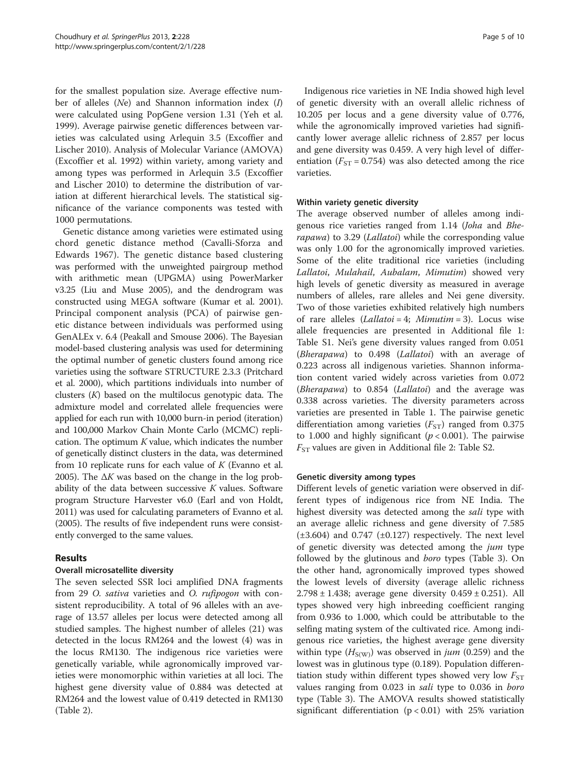for the smallest population size. Average effective number of alleles (Ne) and Shannon information index (I) were calculated using PopGene version 1.31 (Yeh et al. [1999](#page-9-0)). Average pairwise genetic differences between varieties was calculated using Arlequin 3.5 (Excoffier and Lischer [2010\)](#page-9-0). Analysis of Molecular Variance (AMOVA) (Excoffier et al. [1992](#page-9-0)) within variety, among variety and among types was performed in Arlequin 3.5 (Excoffier and Lischer [2010\)](#page-9-0) to determine the distribution of variation at different hierarchical levels. The statistical significance of the variance components was tested with 1000 permutations.

Genetic distance among varieties were estimated using chord genetic distance method (Cavalli-Sforza and Edwards [1967\)](#page-8-0). The genetic distance based clustering was performed with the unweighted pairgroup method with arithmetic mean (UPGMA) using PowerMarker v3.25 (Liu and Muse [2005](#page-9-0)), and the dendrogram was constructed using MEGA software (Kumar et al. [2001](#page-9-0)). Principal component analysis (PCA) of pairwise genetic distance between individuals was performed using GenALEx v. 6.4 (Peakall and Smouse [2006\)](#page-9-0). The Bayesian model-based clustering analysis was used for determining the optimal number of genetic clusters found among rice varieties using the software STRUCTURE 2.3.3 (Pritchard et al. [2000](#page-9-0)), which partitions individuals into number of clusters  $(K)$  based on the multilocus genotypic data. The admixture model and correlated allele frequencies were applied for each run with 10,000 burn-in period (iteration) and 100,000 Markov Chain Monte Carlo (MCMC) replication. The optimum  $K$  value, which indicates the number of genetically distinct clusters in the data, was determined from 10 replicate runs for each value of  $K$  (Evanno et al. [2005\)](#page-9-0). The  $\Delta K$  was based on the change in the log probability of the data between successive  $K$  values. Software program Structure Harvester v6.0 (Earl and von Holdt, [2011\)](#page-9-0) was used for calculating parameters of Evanno et al. ([2005](#page-9-0)). The results of five independent runs were consistently converged to the same values.

#### Results

#### Overall microsatellite diversity

The seven selected SSR loci amplified DNA fragments from 29 O. sativa varieties and O. rufipogon with consistent reproducibility. A total of 96 alleles with an average of 13.57 alleles per locus were detected among all studied samples. The highest number of alleles (21) was detected in the locus RM264 and the lowest (4) was in the locus RM130. The indigenous rice varieties were genetically variable, while agronomically improved varieties were monomorphic within varieties at all loci. The highest gene diversity value of 0.884 was detected at RM264 and the lowest value of 0.419 detected in RM130 (Table [2\)](#page-3-0).

Indigenous rice varieties in NE India showed high level of genetic diversity with an overall allelic richness of 10.205 per locus and a gene diversity value of 0.776, while the agronomically improved varieties had significantly lower average allelic richness of 2.857 per locus and gene diversity was 0.459. A very high level of differentiation ( $F_{ST}$  = 0.754) was also detected among the rice varieties.

#### Within variety genetic diversity

The average observed number of alleles among indigenous rice varieties ranged from 1.14 (Joha and Bherapawa) to 3.29 (Lallatoi) while the corresponding value was only 1.00 for the agronomically improved varieties. Some of the elite traditional rice varieties (including Lallatoi, Mulahail, Aubalam, Mimutim) showed very high levels of genetic diversity as measured in average numbers of alleles, rare alleles and Nei gene diversity. Two of those varieties exhibited relatively high numbers of rare alleles  $(Lallatoi = 4; *Minimum = 3)*. Locus wise$ allele frequencies are presented in Additional file [1](#page-8-0): Table S1. Nei's gene diversity values ranged from 0.051 (Bherapawa) to 0.498 (Lallatoi) with an average of 0.223 across all indigenous varieties. Shannon information content varied widely across varieties from 0.072 (Bherapawa) to 0.854 (Lallatoi) and the average was 0.338 across varieties. The diversity parameters across varieties are presented in Table [1.](#page-3-0) The pairwise genetic differentiation among varieties  $(F_{ST})$  ranged from 0.375 to 1.000 and highly significant ( $p < 0.001$ ). The pairwise  $F_{ST}$  values are given in Additional file [2:](#page-8-0) Table S2.

#### Genetic diversity among types

Different levels of genetic variation were observed in different types of indigenous rice from NE India. The highest diversity was detected among the *sali* type with an average allelic richness and gene diversity of 7.585  $(\pm 3.604)$  and 0.747  $(\pm 0.127)$  respectively. The next level of genetic diversity was detected among the *jum* type followed by the glutinous and boro types (Table [3](#page-5-0)). On the other hand, agronomically improved types showed the lowest levels of diversity (average allelic richness 2.798 ± 1.438; average gene diversity 0.459 ± 0.251). All types showed very high inbreeding coefficient ranging from 0.936 to 1.000, which could be attributable to the selfing mating system of the cultivated rice. Among indigenous rice varieties, the highest average gene diversity within type  $(H_{S(W)})$  was observed in *jum* (0.259) and the lowest was in glutinous type (0.189). Population differentiation study within different types showed very low  $F_{ST}$ values ranging from 0.023 in *sali* type to 0.036 in *boro* type (Table [3](#page-5-0)). The AMOVA results showed statistically significant differentiation ( $p < 0.01$ ) with 25% variation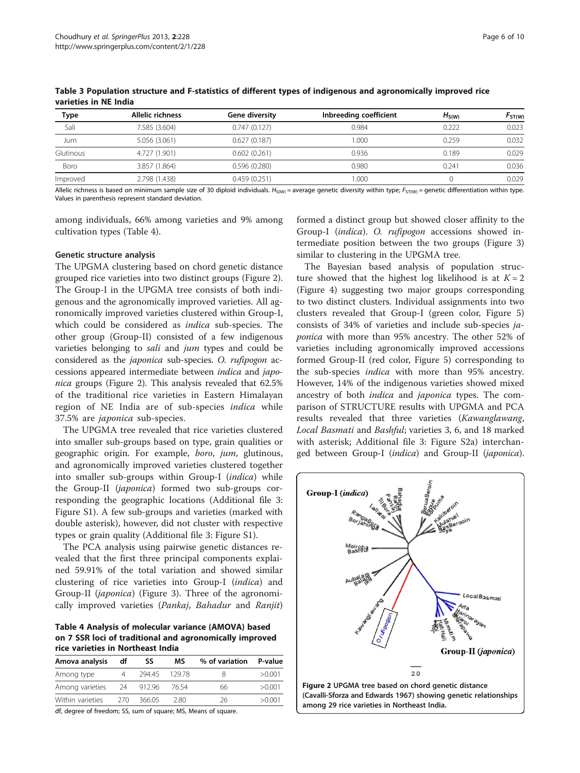| <b>Allelic richness</b> | <b>Gene diversity</b> | Inbreeding coefficient | H <sub>S(W)</sub> | $r_{ST(W)}$ |
|-------------------------|-----------------------|------------------------|-------------------|-------------|
| 7.585 (3.604)           | 0.747(0.127)          | 0.984                  | 0.222             | 0.023       |
| 5.056 (3.061)           | 0.627(0.187)          | 000.1                  | 0.259             | 0.032       |
| 4.727 (1.901)           | 0.602(0.261)          | 0.936                  | 0.189             | 0.029       |
| 3.857 (1.864)           | 0.596(0.280)          | 0.980                  | 0.241             | 0.036       |
| 2.798 (1.438)           | 0.459(0.251)          | 000.                   |                   | 0.029       |
|                         |                       |                        |                   |             |

<span id="page-5-0"></span>Table 3 Population structure and F-statistics of different types of indigenous and agronomically improved rice varieties in NE India

Allelic richness is based on minimum sample size of 30 diploid individuals.  $H_{S(W)}$  = average genetic diversity within type;  $F_{ST(W)}$  = genetic differentiation within type. Values in parenthesis represent standard deviation.

among individuals, 66% among varieties and 9% among cultivation types (Table 4).

#### Genetic structure analysis

The UPGMA clustering based on chord genetic distance grouped rice varieties into two distinct groups (Figure 2). The Group-I in the UPGMA tree consists of both indigenous and the agronomically improved varieties. All agronomically improved varieties clustered within Group-I, which could be considered as indica sub-species. The other group (Group-II) consisted of a few indigenous varieties belonging to *sali* and *jum* types and could be considered as the japonica sub-species. O. rufipogon accessions appeared intermediate between indica and japonica groups (Figure 2). This analysis revealed that 62.5% of the traditional rice varieties in Eastern Himalayan region of NE India are of sub-species indica while 37.5% are japonica sub-species.

The UPGMA tree revealed that rice varieties clustered into smaller sub-groups based on type, grain qualities or geographic origin. For example, boro, jum, glutinous, and agronomically improved varieties clustered together into smaller sub-groups within Group-I (indica) while the Group-II (japonica) formed two sub-groups corresponding the geographic locations (Additional file [3](#page-8-0): Figure S1). A few sub-groups and varieties (marked with double asterisk), however, did not cluster with respective types or grain quality (Additional file [3](#page-8-0): Figure S1).

The PCA analysis using pairwise genetic distances revealed that the first three principal components explained 59.91% of the total variation and showed similar clustering of rice varieties into Group-I (indica) and Group-II (japonica) (Figure [3\)](#page-6-0). Three of the agronomically improved varieties (Pankaj, Bahadur and Ranjit)

Table 4 Analysis of molecular variance (AMOVA) based on 7 SSR loci of traditional and agronomically improved rice varieties in Northeast India

| Amova analysis   | df  | SS        | ΜS      | % of variation | P-value |
|------------------|-----|-----------|---------|----------------|---------|
| Among type       |     | 294.45    | -129.78 | 8              | >0.001  |
| Among varieties  |     | 24 912.96 | 76.54   | 66             | >0.001  |
| Within varieties | 270 | 366.05    | 280     | 26             | >0.001  |

df, degree of freedom; SS, sum of square; MS, Means of square.

formed a distinct group but showed closer affinity to the Group-I (indica). O. rufipogon accessions showed intermediate position between the two groups (Figure [3](#page-6-0)) similar to clustering in the UPGMA tree.

The Bayesian based analysis of population structure showed that the highest log likelihood is at  $K = 2$ (Figure [4](#page-6-0)) suggesting two major groups corresponding to two distinct clusters. Individual assignments into two clusters revealed that Group-I (green color, Figure [5](#page-7-0)) consists of 34% of varieties and include sub-species japonica with more than 95% ancestry. The other 52% of varieties including agronomically improved accessions formed Group-II (red color, Figure [5](#page-7-0)) corresponding to the sub-species *indica* with more than 95% ancestry. However, 14% of the indigenous varieties showed mixed ancestry of both indica and japonica types. The comparison of STRUCTURE results with UPGMA and PCA results revealed that three varieties (Kawanglawang, Local Basmati and Bashful; varieties 3, 6, and 18 marked with asterisk; Additional file [3:](#page-8-0) Figure S2a) interchanged between Group-I (indica) and Group-II (japonica).



(Cavalli-Sforza and Edwards [1967](#page-8-0)) showing genetic relationships among 29 rice varieties in Northeast India.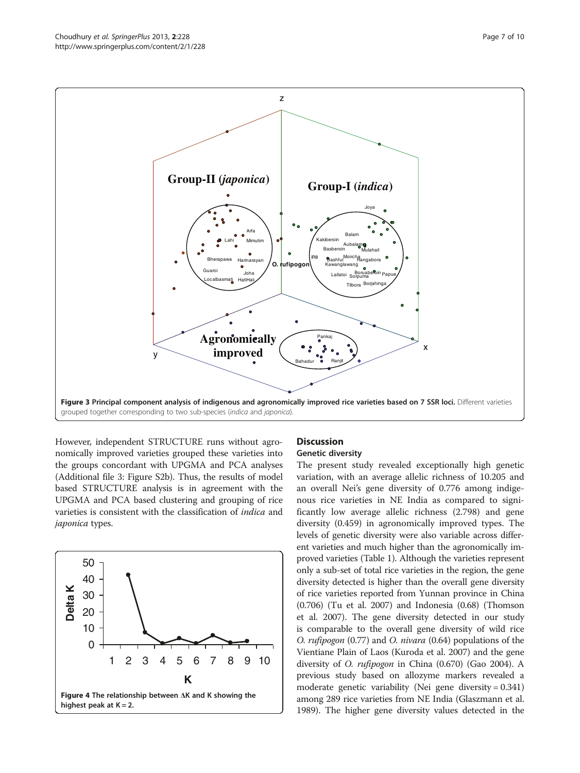<span id="page-6-0"></span>

However, independent STRUCTURE runs without agronomically improved varieties grouped these varieties into the groups concordant with UPGMA and PCA analyses (Additional file [3:](#page-8-0) Figure S2b). Thus, the results of model based STRUCTURE analysis is in agreement with the UPGMA and PCA based clustering and grouping of rice varieties is consistent with the classification of indica and japonica types.



## **Discussion**

## Genetic diversity

The present study revealed exceptionally high genetic variation, with an average allelic richness of 10.205 and an overall Nei's gene diversity of 0.776 among indigenous rice varieties in NE India as compared to significantly low average allelic richness (2.798) and gene diversity (0.459) in agronomically improved types. The levels of genetic diversity were also variable across different varieties and much higher than the agronomically improved varieties (Table [1](#page-3-0)). Although the varieties represent only a sub-set of total rice varieties in the region, the gene diversity detected is higher than the overall gene diversity of rice varieties reported from Yunnan province in China (0.706) (Tu et al. [2007](#page-9-0)) and Indonesia (0.68) (Thomson et al. [2007\)](#page-9-0). The gene diversity detected in our study is comparable to the overall gene diversity of wild rice O. rufipogon (0.77) and O. nivara (0.64) populations of the Vientiane Plain of Laos (Kuroda et al. [2007\)](#page-9-0) and the gene diversity of O. rufipogon in China (0.670) (Gao [2004](#page-9-0)). A previous study based on allozyme markers revealed a moderate genetic variability (Nei gene diversity  $= 0.341$ ) among 289 rice varieties from NE India (Glaszmann et al. [1989](#page-9-0)). The higher gene diversity values detected in the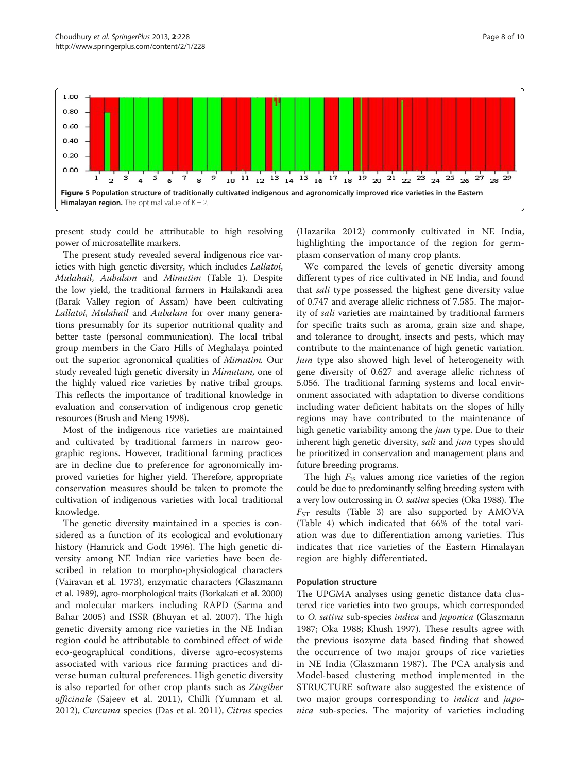<span id="page-7-0"></span>1.00 0.80  $0.60$ 





present study could be attributable to high resolving power of microsatellite markers.

The present study revealed several indigenous rice varieties with high genetic diversity, which includes Lallatoi, Mulahail, Aubalam and Mimutim (Table [1\)](#page-3-0). Despite the low yield, the traditional farmers in Hailakandi area (Barak Valley region of Assam) have been cultivating Lallatoi, Mulahail and Aubalam for over many generations presumably for its superior nutritional quality and better taste (personal communication). The local tribal group members in the Garo Hills of Meghalaya pointed out the superior agronomical qualities of Mimutim. Our study revealed high genetic diversity in Mimutum, one of the highly valued rice varieties by native tribal groups. This reflects the importance of traditional knowledge in evaluation and conservation of indigenous crop genetic resources (Brush and Meng [1998\)](#page-8-0).

Most of the indigenous rice varieties are maintained and cultivated by traditional farmers in narrow geographic regions. However, traditional farming practices are in decline due to preference for agronomically improved varieties for higher yield. Therefore, appropriate conservation measures should be taken to promote the cultivation of indigenous varieties with local traditional knowledge.

The genetic diversity maintained in a species is considered as a function of its ecological and evolutionary history (Hamrick and Godt [1996\)](#page-9-0). The high genetic diversity among NE Indian rice varieties have been described in relation to morpho-physiological characters (Vairavan et al. [1973\)](#page-9-0), enzymatic characters (Glaszmann et al. [1989](#page-9-0)), agro-morphological traits (Borkakati et al. [2000](#page-8-0)) and molecular markers including RAPD (Sarma and Bahar [2005](#page-9-0)) and ISSR (Bhuyan et al. [2007\)](#page-8-0). The high genetic diversity among rice varieties in the NE Indian region could be attributable to combined effect of wide eco-geographical conditions, diverse agro-ecosystems associated with various rice farming practices and diverse human cultural preferences. High genetic diversity is also reported for other crop plants such as Zingiber officinale (Sajeev et al. [2011](#page-9-0)), Chilli (Yumnam et al. [2012\)](#page-9-0), Curcuma species (Das et al. [2011](#page-9-0)), Citrus species

(Hazarika [2012\)](#page-9-0) commonly cultivated in NE India, highlighting the importance of the region for germplasm conservation of many crop plants.

We compared the levels of genetic diversity among different types of rice cultivated in NE India, and found that sali type possessed the highest gene diversity value of 0.747 and average allelic richness of 7.585. The majority of sali varieties are maintained by traditional farmers for specific traits such as aroma, grain size and shape, and tolerance to drought, insects and pests, which may contribute to the maintenance of high genetic variation. Jum type also showed high level of heterogeneity with gene diversity of 0.627 and average allelic richness of 5.056. The traditional farming systems and local environment associated with adaptation to diverse conditions including water deficient habitats on the slopes of hilly regions may have contributed to the maintenance of high genetic variability among the *jum* type. Due to their inherent high genetic diversity, sali and jum types should be prioritized in conservation and management plans and future breeding programs.

The high  $F_{IS}$  values among rice varieties of the region could be due to predominantly selfing breeding system with a very low outcrossing in O. sativa species (Oka [1988\)](#page-9-0). The  $F_{ST}$  results (Table [3](#page-5-0)) are also supported by AMOVA (Table [4](#page-5-0)) which indicated that 66% of the total variation was due to differentiation among varieties. This indicates that rice varieties of the Eastern Himalayan region are highly differentiated.

#### Population structure

The UPGMA analyses using genetic distance data clustered rice varieties into two groups, which corresponded to O. sativa sub-species indica and japonica (Glaszmann [1987](#page-9-0); Oka [1988;](#page-9-0) Khush [1997\)](#page-9-0). These results agree with the previous isozyme data based finding that showed the occurrence of two major groups of rice varieties in NE India (Glaszmann [1987](#page-9-0)). The PCA analysis and Model-based clustering method implemented in the STRUCTURE software also suggested the existence of two major groups corresponding to *indica* and *japo*nica sub-species. The majority of varieties including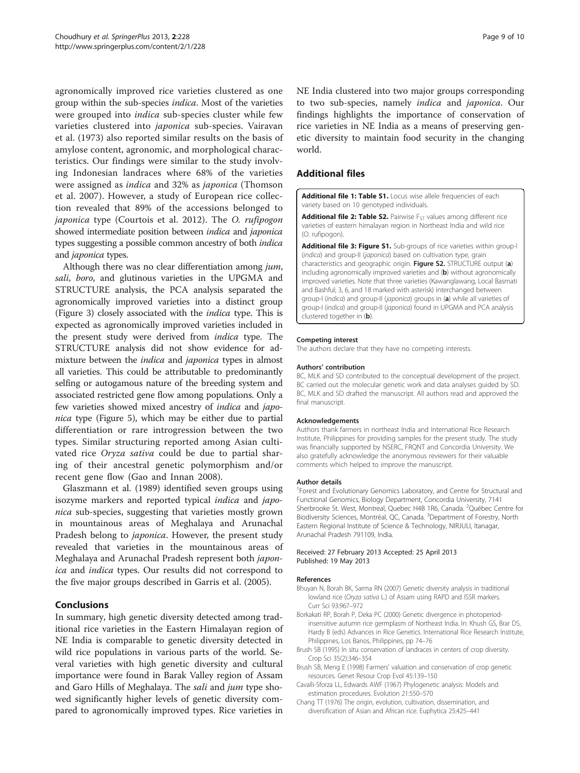<span id="page-8-0"></span>agronomically improved rice varieties clustered as one group within the sub-species indica. Most of the varieties were grouped into indica sub-species cluster while few varieties clustered into japonica sub-species. Vairavan et al. [\(1973](#page-9-0)) also reported similar results on the basis of amylose content, agronomic, and morphological characteristics. Our findings were similar to the study involving Indonesian landraces where 68% of the varieties were assigned as indica and 32% as japonica (Thomson et al. [2007](#page-9-0)). However, a study of European rice collection revealed that 89% of the accessions belonged to japonica type (Courtois et al. [2012](#page-9-0)). The O. rufipogon showed intermediate position between indica and japonica types suggesting a possible common ancestry of both indica and japonica types.

Although there was no clear differentiation among jum, sali, boro, and glutinous varieties in the UPGMA and STRUCTURE analysis, the PCA analysis separated the agronomically improved varieties into a distinct group (Figure [3](#page-6-0)) closely associated with the indica type. This is expected as agronomically improved varieties included in the present study were derived from indica type. The STRUCTURE analysis did not show evidence for admixture between the indica and japonica types in almost all varieties. This could be attributable to predominantly selfing or autogamous nature of the breeding system and associated restricted gene flow among populations. Only a few varieties showed mixed ancestry of indica and japonica type (Figure [5\)](#page-7-0), which may be either due to partial differentiation or rare introgression between the two types. Similar structuring reported among Asian cultivated rice Oryza sativa could be due to partial sharing of their ancestral genetic polymorphism and/or recent gene flow (Gao and Innan [2008](#page-9-0)).

Glaszmann et al. ([1989](#page-9-0)) identified seven groups using isozyme markers and reported typical indica and japonica sub-species, suggesting that varieties mostly grown in mountainous areas of Meghalaya and Arunachal Pradesh belong to japonica. However, the present study revealed that varieties in the mountainous areas of Meghalaya and Arunachal Pradesh represent both japonica and indica types. Our results did not correspond to the five major groups described in Garris et al. ([2005\)](#page-9-0).

## Conclusions

In summary, high genetic diversity detected among traditional rice varieties in the Eastern Himalayan region of NE India is comparable to genetic diversity detected in wild rice populations in various parts of the world. Several varieties with high genetic diversity and cultural importance were found in Barak Valley region of Assam and Garo Hills of Meghalaya. The *sali* and *jum* type showed significantly higher levels of genetic diversity compared to agronomically improved types. Rice varieties in

NE India clustered into two major groups corresponding to two sub-species, namely indica and japonica. Our findings highlights the importance of conservation of rice varieties in NE India as a means of preserving genetic diversity to maintain food security in the changing world.

## Additional files

[Additional file 1: Table S1.](http://www.biomedcentral.com/content/supplementary/2193-1801-2-228-S1.xls) Locus wise allele frequencies of each variety based on 10 genotyped individuals.

[Additional file 2: Table S2.](http://www.biomedcentral.com/content/supplementary/2193-1801-2-228-S2.xls) Pairwise F<sub>ST</sub> values among different rice varieties of eastern himalayan region in Northeast India and wild rice (O. rufipogon).

[Additional file 3: Figure S1.](http://www.biomedcentral.com/content/supplementary/2193-1801-2-228-S3.doc) Sub-groups of rice varieties within group-I (indica) and group-II (japonica) based on cultivation type, grain characteristics and geographic origin. Figure S2. STRUCTURE output (a) including agronomically improved varieties and (b) without agronomically improved varieties. Note that three varieties (Kawanglawang, Local Basmati and Bashful; 3, 6, and 18 marked with asterisk) interchanged between group-I (indica) and group-II (japonica) groups in (a) while all varieties of group-I (indica) and group-II (japonica) found in UPGMA and PCA analysis clustered together in (b).

#### Competing interest

The authors declare that they have no competing interests.

#### Authors' contribution

BC, MLK and SD contributed to the conceptual development of the project. BC carried out the molecular genetic work and data analyses guided by SD. BC, MLK and SD drafted the manuscript. All authors read and approved the final manuscript.

#### Acknowledgements

Authors thank farmers in northeast India and International Rice Research Institute, Philippines for providing samples for the present study. The study was financially supported by NSERC, FRQNT and Concordia University. We also gratefully acknowledge the anonymous reviewers for their valuable comments which helped to improve the manuscript.

#### Author details

<sup>1</sup> Forest and Evolutionary Genomics Laboratory, and Centre for Structural and Functional Genomics, Biology Department, Concordia University, 7141 Sherbrooke St. West, Montreal, Quebec H4B 1R6, Canada. <sup>2</sup>Québec Centre for Biodiversity Sciences, Montréal, QC, Canada. <sup>3</sup>Department of Forestry, North Eastern Regional Institute of Science & Technology, NIRJULI, Itanagar, Arunachal Pradesh 791109, India.

#### Received: 27 February 2013 Accepted: 25 April 2013 Published: 19 May 2013

#### References

- Bhuyan N, Borah BK, Sarma RN (2007) Genetic diversity analysis in traditional lowland rice (Oryza sativa L.) of Assam using RAPD and ISSR markers. Curr Sci 93:967–972
- Borkakati RP, Borah P, Deka PC (2000) Genetic divergence in photoperiodinsensitive autumn rice germplasm of Northeast India. In: Khush GS, Brar DS, Hardy B (eds) Advances in Rice Genetics. International Rice Research Institute, Philippines, Los Banos, Philippines, pp 74–76
- Brush SB (1995) In situ conservation of landraces in centers of crop diversity. Crop Sci 35(2):346–354
- Brush SB, Meng E (1998) Farmers' valuation and conservation of crop genetic resources. Genet Resour Crop Evol 45:139–150
- Cavalli-Sforza LL, Edwards AWF (1967) Phylogenetic analysis: Models and estimation procedures. Evolution 21:550–570
- Chang TT (1976) The origin, evolution, cultivation, dissemination, and diversification of Asian and African rice. Euphytica 25:425–441